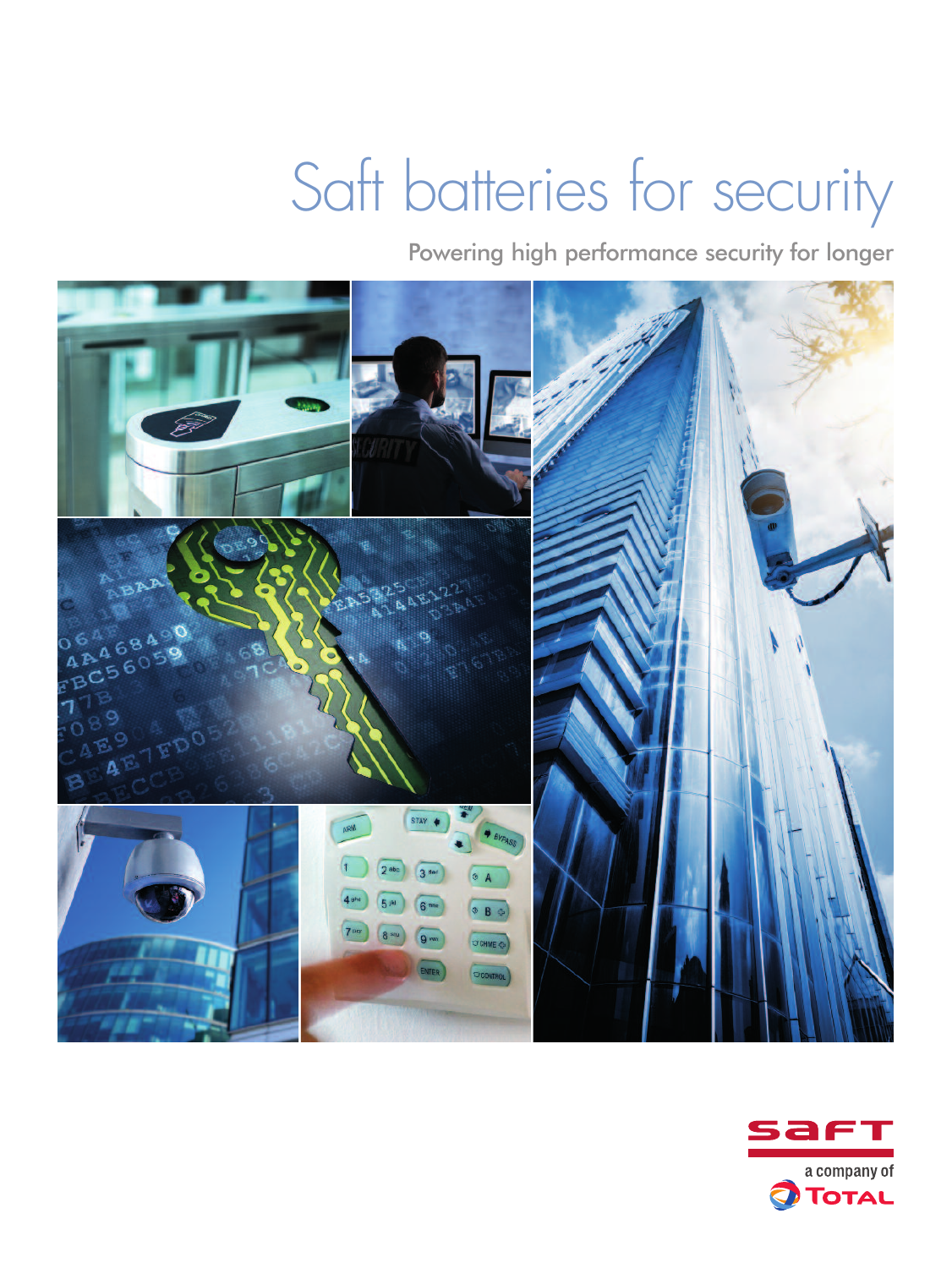# Saft batteries for security

Powering high performance security for longer



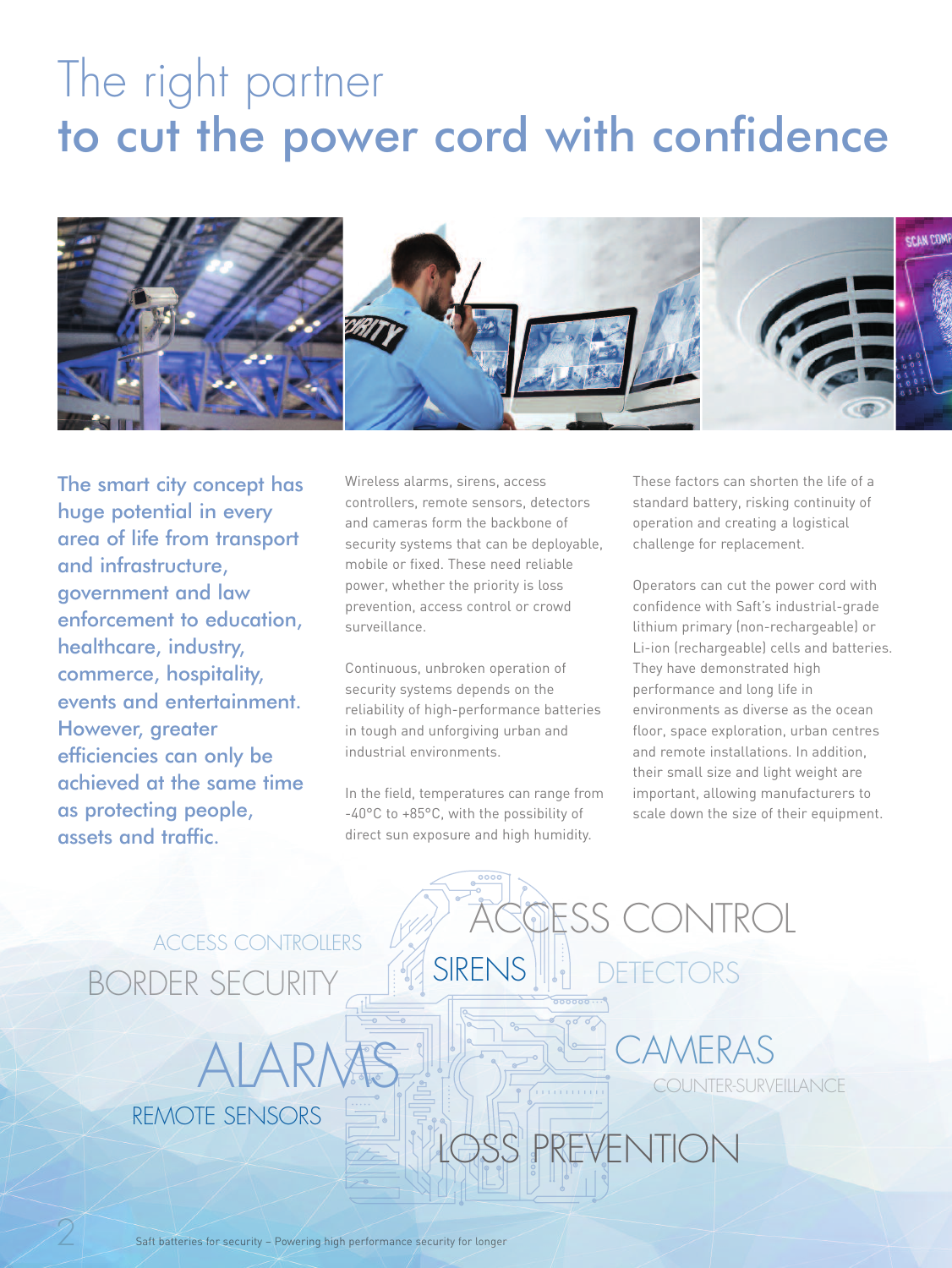### The right partner to cut the power cord with confidence



The smart city concept has huge potential in every area of life from transport and infrastructure, government and law enforcement to education, healthcare, industry, commerce, hospitality, events and entertainment. However, greater efficiencies can only be achieved at the same time as protecting people, assets and traffic.

Wireless alarms, sirens, access controllers, remote sensors, detectors and cameras form the backbone of security systems that can be deployable, mobile or fixed. These need reliable power, whether the priority is loss prevention, access control or crowd surveillance.

Continuous, unbroken operation of security systems depends on the reliability of high-performance batteries in tough and unforgiving urban and industrial environments.

In the field, temperatures can range from -40°C to +85°C, with the possibility of direct sun exposure and high humidity.

ALARMS IN COUNTER-SURVEILLANCE

These factors can shorten the life of a standard battery, risking continuity of operation and creating a logistical challenge for replacement.

Operators can cut the power cord with confidence with Saft's industrial-grade lithium primary (non-rechargeable) or Li-ion (rechargeable) cells and batteries. They have demonstrated high performance and long life in environments as diverse as the ocean floor, space exploration, urban centres and remote installations. In addition, their small size and light weight are important, allowing manufacturers to scale down the size of their equipment.

PREVENTION

SIRENS **WE** DETECTORS

ESS CONTROL

**AMFRAS** 

### BORDER SECURITY ACCESS CONTROLLERS

REMOTE SENSORS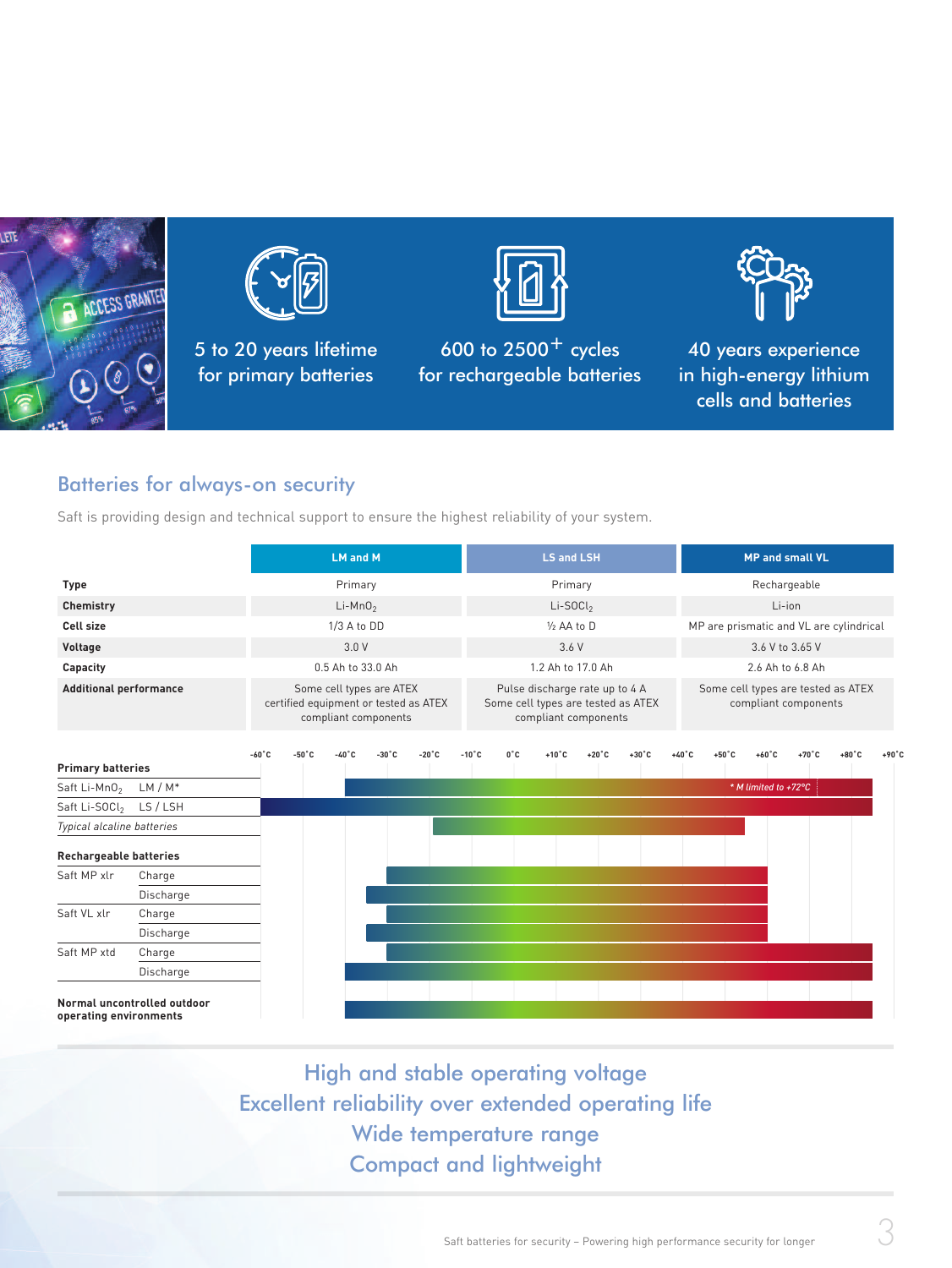



5 to 20 years lifetime for primary batteries



600 to  $2500^{+}$  cycles for rechargeable batteries



40 years experience in high-energy lithium cells and batteries

#### Batteries for always-on security

Saft is providing design and technical support to ensure the highest reliability of your system.

|                                                       |           |                 | <b>LM and M</b>                                                                           |       |       |                 |                 | <b>LS and LSH</b>                                                                            |                 |                |                 |       | <b>MP and small VL</b>                                     |                      |                 |                 |                 |  |
|-------------------------------------------------------|-----------|-----------------|-------------------------------------------------------------------------------------------|-------|-------|-----------------|-----------------|----------------------------------------------------------------------------------------------|-----------------|----------------|-----------------|-------|------------------------------------------------------------|----------------------|-----------------|-----------------|-----------------|--|
| Type                                                  |           |                 | Primary                                                                                   |       |       |                 |                 | Primary                                                                                      |                 |                |                 |       | Rechargeable                                               |                      |                 |                 |                 |  |
| Chemistry                                             |           |                 | $Li-MnO2$                                                                                 |       |       |                 |                 | $Li-SOCl2$                                                                                   |                 |                |                 |       | Li-ion                                                     |                      |                 |                 |                 |  |
| <b>Cell size</b>                                      |           |                 | 1/3 A to DD                                                                               |       |       |                 |                 | 1/2 AA to D                                                                                  |                 |                |                 |       | MP are prismatic and VL are cylindrical                    |                      |                 |                 |                 |  |
| Voltage                                               |           |                 | 3.0V                                                                                      |       |       |                 |                 | 3.6V                                                                                         |                 |                |                 |       | 3.6 V to 3.65 V                                            |                      |                 |                 |                 |  |
| Capacity                                              |           |                 | 0.5 Ah to 33.0 Ah                                                                         |       |       |                 |                 | 1.2 Ah to 17.0 Ah                                                                            |                 |                |                 |       | 2.6 Ah to 6.8 Ah                                           |                      |                 |                 |                 |  |
| <b>Additional performance</b>                         |           |                 | Some cell types are ATEX<br>certified equipment or tested as ATEX<br>compliant components |       |       |                 |                 | Pulse discharge rate up to 4 A<br>Some cell types are tested as ATEX<br>compliant components |                 |                |                 |       | Some cell types are tested as ATEX<br>compliant components |                      |                 |                 |                 |  |
| <b>Primary batteries</b>                              |           | $-60^{\circ}$ C | $-50^{\circ}$ C                                                                           | -40°C | -30°C | $-20^{\circ}$ C | $-10^{\circ}$ C | $0^{\circ}$ C                                                                                | $+10^{\circ}$ C | $+20^{\circ}C$ | $+30^{\circ}$ C | +40°C | $+50^{\circ}$ C                                            | $+60^{\circ}$ C      | $+70^{\circ}$ C | $+80^{\circ}$ C | $+90^{\circ}$ C |  |
| $LM/M^*$<br>Saft Li-MnO <sub>2</sub>                  |           |                 |                                                                                           |       |       |                 |                 |                                                                                              |                 |                |                 |       |                                                            | * M limited to +72°C |                 |                 |                 |  |
| Saft Li-SOCI <sub>2</sub>                             | LS / LSH  |                 |                                                                                           |       |       |                 |                 |                                                                                              |                 |                |                 |       |                                                            |                      |                 |                 |                 |  |
| Typical alcaline batteries                            |           |                 |                                                                                           |       |       |                 |                 |                                                                                              |                 |                |                 |       |                                                            |                      |                 |                 |                 |  |
| <b>Rechargeable batteries</b>                         |           |                 |                                                                                           |       |       |                 |                 |                                                                                              |                 |                |                 |       |                                                            |                      |                 |                 |                 |  |
| Saft MP xlr                                           | Charge    |                 |                                                                                           |       |       |                 |                 |                                                                                              |                 |                |                 |       |                                                            |                      |                 |                 |                 |  |
|                                                       | Discharge |                 |                                                                                           |       |       |                 |                 |                                                                                              |                 |                |                 |       |                                                            |                      |                 |                 |                 |  |
| Saft VL xlr                                           | Charge    |                 |                                                                                           |       |       |                 |                 |                                                                                              |                 |                |                 |       |                                                            |                      |                 |                 |                 |  |
|                                                       | Discharge |                 |                                                                                           |       |       |                 |                 |                                                                                              |                 |                |                 |       |                                                            |                      |                 |                 |                 |  |
| Saft MP xtd                                           | Charge    |                 |                                                                                           |       |       |                 |                 |                                                                                              |                 |                |                 |       |                                                            |                      |                 |                 |                 |  |
|                                                       | Discharge |                 |                                                                                           |       |       |                 |                 |                                                                                              |                 |                |                 |       |                                                            |                      |                 |                 |                 |  |
| Normal uncontrolled outdoor<br>operating environments |           |                 |                                                                                           |       |       |                 |                 |                                                                                              |                 |                |                 |       |                                                            |                      |                 |                 |                 |  |

High and stable operating voltage Excellent reliability over extended operating life Wide temperature range Compact and lightweight